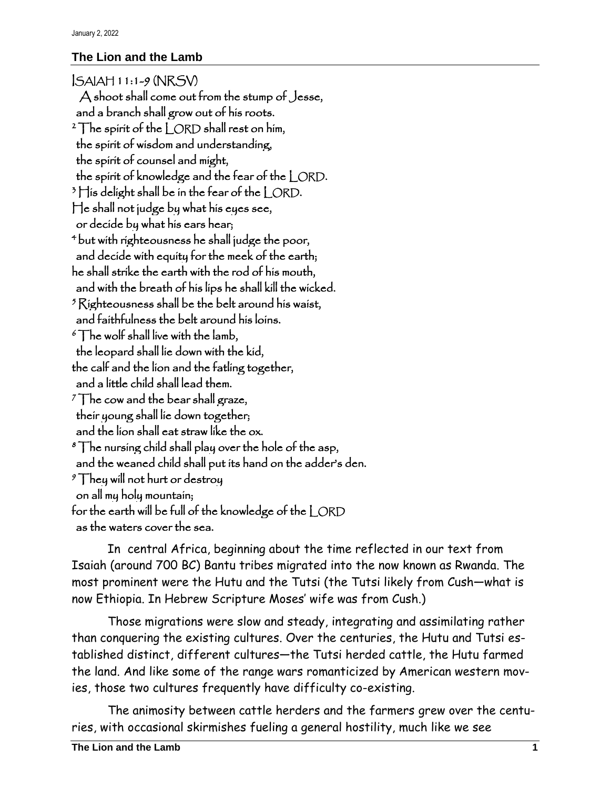## **The Lion and the Lamb**

ISAIAH 11:1-9 (NRSV) A shoot shall come out from the stump of Jesse, and a branch shall grow out of his roots.  $2\int$ he spirit of the  $\int$  ORD shall rest on him, the spirit of wisdom and understanding, the spirit of counsel and might, the spirit of knowledge and the fear of the | ORD.  $3$   $\frac{1}{1}$  is delight shall be in the fear of the  $\frac{1}{2}$  ORD. He shall not judge by what his eyes see, or decide by what his ears hear; <sup>4</sup>but with righteousness he shall judge the poor, and decide with equity for the meek of the earth; he shall strike the earth with the rod of his mouth, and with the breath of his lips he shall kill the wicked.  $5R$ ighteousness shall be the belt around his waist, and faithfulness the belt around his loins.  $\delta$  The wolf shall live with the lamb, the leopard shall lie down with the kid, the calf and the lion and the fatling together, and a little child shall lead them.  $7$ The cow and the bear shall graze, their young shall lie down together; and the lion shall eat straw like the ox.  $\delta$  The nursing child shall play over the hole of the asp, and the weaned child shall put its hand on the adder's den.  $\sqrt[9]{\}$ hey will not hurt or destroy on all my holy mountain; for the earth will be full of the knowledge of the | ORD as the waters cover the sea.

In central Africa, beginning about the time reflected in our text from Isaiah (around 700 BC) Bantu tribes migrated into the now known as Rwanda. The most prominent were the Hutu and the Tutsi (the Tutsi likely from Cush—what is now Ethiopia. In Hebrew Scripture Moses' wife was from Cush.)

Those migrations were slow and steady, integrating and assimilating rather than conquering the existing cultures. Over the centuries, the Hutu and Tutsi established distinct, different cultures—the Tutsi herded cattle, the Hutu farmed the land. And like some of the range wars romanticized by American western movies, those two cultures frequently have difficulty co-existing.

The animosity between cattle herders and the farmers grew over the centuries, with occasional skirmishes fueling a general hostility, much like we see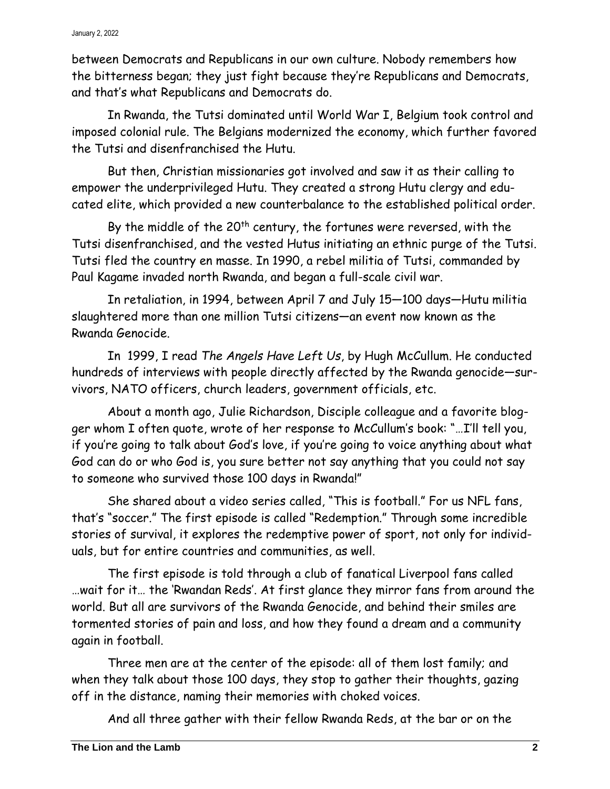between Democrats and Republicans in our own culture. Nobody remembers how the bitterness began; they just fight because they're Republicans and Democrats, and that's what Republicans and Democrats do.

In Rwanda, the Tutsi dominated until World War I, Belgium took control and imposed colonial rule. The Belgians modernized the economy, which further favored the Tutsi and disenfranchised the Hutu.

But then, Christian missionaries got involved and saw it as their calling to empower the underprivileged Hutu. They created a strong Hutu clergy and educated elite, which provided a new counterbalance to the established political order.

By the middle of the  $20<sup>th</sup>$  century, the fortunes were reversed, with the Tutsi disenfranchised, and the vested Hutus initiating an ethnic purge of the Tutsi. Tutsi fled the country en masse. In 1990, a rebel militia of Tutsi, commanded by Paul Kagame invaded north Rwanda, and began a full-scale civil war.

In retaliation, in 1994, between April 7 and July 15—100 days—Hutu militia slaughtered more than one million Tutsi citizens—an event now known as the Rwanda Genocide.

In 1999, I read *The Angels Have Left Us*, by Hugh McCullum. He conducted hundreds of interviews with people directly affected by the Rwanda genocide—survivors, NATO officers, church leaders, government officials, etc.

About a month ago, Julie Richardson, Disciple colleague and a favorite blogger whom I often quote, wrote of her response to McCullum's book: "…I'll tell you, if you're going to talk about God's love, if you're going to voice anything about what God can do or who God is, you sure better not say anything that you could not say to someone who survived those 100 days in Rwanda!"

She shared about a video series called, "[This](https://www.amazon.com/This-is-Football-Season-1/dp/B086HWZZ37) is football." For us NFL fans, that's "soccer." The first episode is called "Redemption." Through some incredible stories of survival, it explores the redemptive power of sport, not only for individuals, but for entire countries and communities, as well.

The first episode is told through a club of fanatical Liverpool fans called …wait for it… the 'Rwandan Reds'. At first glance they mirror fans from around the world. But all are survivors of the Rwanda Genocide, and behind their smiles are tormented stories of pain and loss, and how they found a dream and a community again in football.

Three men are at the center of the episode: all of them lost family; and when they talk about those 100 days, they stop to gather their thoughts, gazing off in the distance, naming their memories with choked voices.

And all three gather with their fellow Rwanda Reds, at the bar or on the